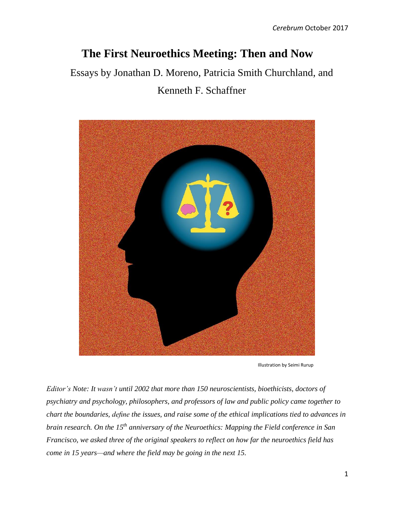# **The First Neuroethics Meeting: Then and Now**

Essays by Jonathan D. Moreno, Patricia Smith Churchland, and

## Kenneth F. Schaffner



Illustration by Seimi Rurup

*Editor's Note: It wasn't until 2002 that more than 150 neuroscientists, bioethicists, doctors of psychiatry and psychology, philosophers, and professors of law and public policy came together to chart the boundaries, define the issues, and raise some of the ethical implications tied to advances in brain research. On the 15th anniversary of the Neuroethics: Mapping the Field conference in San Francisco, we asked three of the original speakers to reflect on how far the neuroethics field has come in 15 years—and where the field may be going in the next 15.*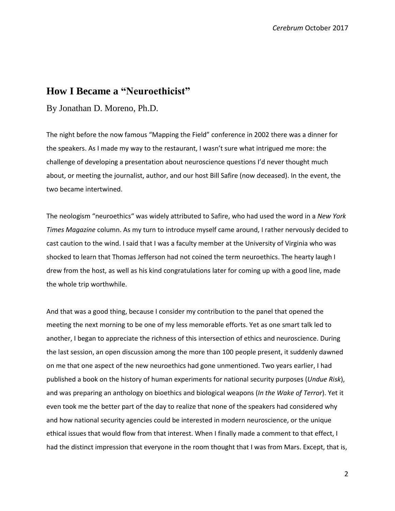### **How I Became a "Neuroethicist"**

By Jonathan D. Moreno, Ph.D.

The night before the now famous "Mapping the Field" conference in 2002 there was a dinner for the speakers. As I made my way to the restaurant, I wasn't sure what intrigued me more: the challenge of developing a presentation about neuroscience questions I'd never thought much about, or meeting the journalist, author, and our host Bill Safire (now deceased). In the event, the two became intertwined.

The neologism "neuroethics" was widely attributed to Safire, who had used the word in a *New York Times Magazine* column. As my turn to introduce myself came around, I rather nervously decided to cast caution to the wind. I said that I was a faculty member at the University of Virginia who was shocked to learn that Thomas Jefferson had not coined the term neuroethics. The hearty laugh I drew from the host, as well as his kind congratulations later for coming up with a good line, made the whole trip worthwhile.

And that was a good thing, because I consider my contribution to the panel that opened the meeting the next morning to be one of my less memorable efforts. Yet as one smart talk led to another, I began to appreciate the richness of this intersection of ethics and neuroscience. During the last session, an open discussion among the more than 100 people present, it suddenly dawned on me that one aspect of the new neuroethics had gone unmentioned. Two years earlier, I had published a book on the history of human experiments for national security purposes (*Undue Risk*), and was preparing an anthology on bioethics and biological weapons (*In the Wake of Terror*). Yet it even took me the better part of the day to realize that none of the speakers had considered why and how national security agencies could be interested in modern neuroscience, or the unique ethical issues that would flow from that interest. When I finally made a comment to that effect, I had the distinct impression that everyone in the room thought that I was from Mars. Except, that is,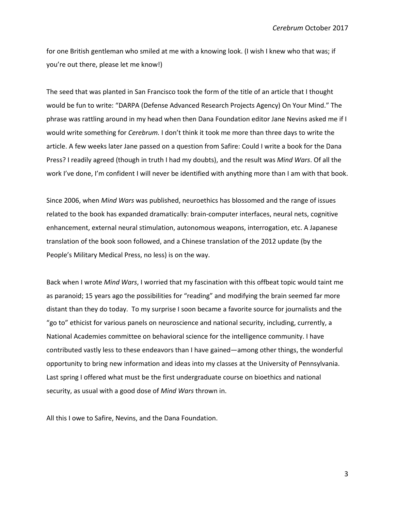for one British gentleman who smiled at me with a knowing look. (I wish I knew who that was; if you're out there, please let me know!)

The seed that was planted in San Francisco took the form of the title of an article that I thought would be fun to write: "DARPA (Defense Advanced Research Projects Agency) On Your Mind." The phrase was rattling around in my head when then Dana Foundation editor Jane Nevins asked me if I would write something for *Cerebrum.* I don't think it took me more than three days to write the article. A few weeks later Jane passed on a question from Safire: Could I write a book for the Dana Press? I readily agreed (though in truth I had my doubts), and the result was *Mind Wars*. Of all the work I've done, I'm confident I will never be identified with anything more than I am with that book.

Since 2006, when *Mind Wars* was published, neuroethics has blossomed and the range of issues related to the book has expanded dramatically: brain-computer interfaces, neural nets, cognitive enhancement, external neural stimulation, autonomous weapons, interrogation, etc. A Japanese translation of the book soon followed, and a Chinese translation of the 2012 update (by the People's Military Medical Press, no less) is on the way.

Back when I wrote *Mind Wars*, I worried that my fascination with this offbeat topic would taint me as paranoid; 15 years ago the possibilities for "reading" and modifying the brain seemed far more distant than they do today. To my surprise I soon became a favorite source for journalists and the "go to" ethicist for various panels on neuroscience and national security, including, currently, a National Academies committee on behavioral science for the intelligence community. I have contributed vastly less to these endeavors than I have gained—among other things, the wonderful opportunity to bring new information and ideas into my classes at the University of Pennsylvania. Last spring I offered what must be the first undergraduate course on bioethics and national security, as usual with a good dose of *Mind Wars* thrown in.

All this I owe to Safire, Nevins, and the Dana Foundation.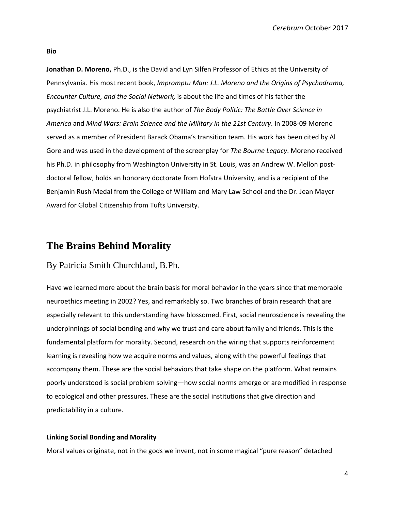**Bio**

**Jonathan D. Moreno,** Ph.D., is the David and Lyn Silfen Professor of Ethics at the University of Pennsylvania. His most recent book, *Impromptu Man: J.L. Moreno and the Origins of Psychodrama, Encounter Culture, and the Social Network,* is about the life and times of his father the psychiatrist J.L. [Moreno.](http://en.wikipedia.org/wiki/Jacob_L._Moreno) He is also the author of *The Body Politic: The Battle Over Science in America* and *Mind Wars: Brain Science and the Military in the 21st Century*. In 2008-09 Moreno served as a member of President Barack Obama's transition team. His work has been cited by Al Gore and was used in the development of the screenplay for *The Bourne Legacy*. Moreno received his Ph.D. in philosophy from Washington University in St. Louis, was an Andrew W. Mellon postdoctoral fellow, holds an honorary doctorate from Hofstra University, and is a recipient of the Benjamin Rush Medal from the College of William and Mary Law School and the Dr. Jean Mayer Award for Global Citizenship from Tufts University.

### **The Brains Behind Morality**

#### By Patricia Smith Churchland, B.Ph.

Have we learned more about the brain basis for moral behavior in the years since that memorable neuroethics meeting in 2002? Yes, and remarkably so. Two branches of brain research that are especially relevant to this understanding have blossomed. First, social neuroscience is revealing the underpinnings of social bonding and why we trust and care about family and friends. This is the fundamental platform for morality. Second, research on the wiring that supports reinforcement learning is revealing how we acquire norms and values, along with the powerful feelings that accompany them. These are the social behaviors that take shape on the platform. What remains poorly understood is social problem solving—how social norms emerge or are modified in response to ecological and other pressures. These are the social institutions that give direction and predictability in a culture.

#### **Linking Social Bonding and Morality**

Moral values originate, not in the gods we invent, not in some magical "pure reason" detached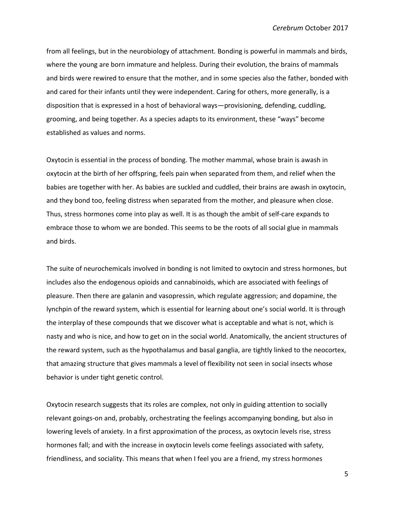from all feelings, but in the neurobiology of attachment. Bonding is powerful in mammals and birds, where the young are born immature and helpless. During their evolution, the brains of mammals and birds were rewired to ensure that the mother, and in some species also the father, bonded with and cared for their infants until they were independent. Caring for others, more generally, is a disposition that is expressed in a host of behavioral ways—provisioning, defending, cuddling, grooming, and being together. As a species adapts to its environment, these "ways" become established as values and norms.

Oxytocin is essential in the process of bonding. The mother mammal, whose brain is awash in oxytocin at the birth of her offspring, feels pain when separated from them, and relief when the babies are together with her. As babies are suckled and cuddled, their brains are awash in oxytocin, and they bond too, feeling distress when separated from the mother, and pleasure when close. Thus, stress hormones come into play as well. It is as though the ambit of self-care expands to embrace those to whom we are bonded. This seems to be the roots of all social glue in mammals and birds.

The suite of neurochemicals involved in bonding is not limited to oxytocin and stress hormones, but includes also the endogenous opioids and cannabinoids, which are associated with feelings of pleasure. Then there are galanin and vasopressin, which regulate aggression; and dopamine, the lynchpin of the reward system, which is essential for learning about one's social world. It is through the interplay of these compounds that we discover what is acceptable and what is not, which is nasty and who is nice, and how to get on in the social world. Anatomically, the ancient structures of the reward system, such as the hypothalamus and basal ganglia, are tightly linked to the neocortex, that amazing structure that gives mammals a level of flexibility not seen in social insects whose behavior is under tight genetic control.

Oxytocin research suggests that its roles are complex, not only in guiding attention to socially relevant goings-on and, probably, orchestrating the feelings accompanying bonding, but also in lowering levels of anxiety. In a first approximation of the process, as oxytocin levels rise, stress hormones fall; and with the increase in oxytocin levels come feelings associated with safety, friendliness, and sociality. This means that when I feel you are a friend, my stress hormones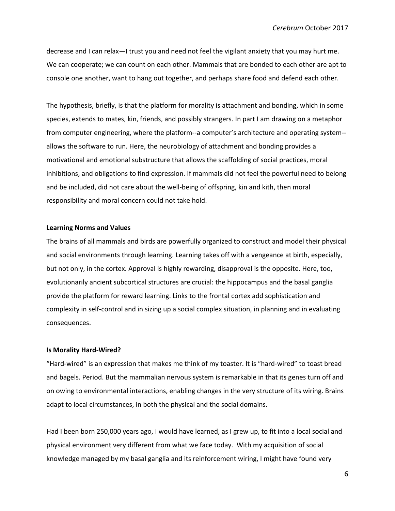decrease and I can relax—I trust you and need not feel the vigilant anxiety that you may hurt me. We can cooperate; we can count on each other. Mammals that are bonded to each other are apt to console one another, want to hang out together, and perhaps share food and defend each other.

The hypothesis, briefly, is that the platform for morality is attachment and bonding, which in some species, extends to mates, kin, friends, and possibly strangers. In part I am drawing on a metaphor from computer engineering, where the platform--a computer's architecture and operating system- allows the software to run. Here, the neurobiology of attachment and bonding provides a motivational and emotional substructure that allows the scaffolding of social practices, moral inhibitions, and obligations to find expression. If mammals did not feel the powerful need to belong and be included, did not care about the well-being of offspring, kin and kith, then moral responsibility and moral concern could not take hold.

#### **Learning Norms and Values**

The brains of all mammals and birds are powerfully organized to construct and model their physical and social environments through learning. Learning takes off with a vengeance at birth, especially, but not only, in the cortex. Approval is highly rewarding, disapproval is the opposite. Here, too, evolutionarily ancient subcortical structures are crucial: the hippocampus and the basal ganglia provide the platform for reward learning. Links to the frontal cortex add sophistication and complexity in self-control and in sizing up a social complex situation, in planning and in evaluating consequences.

#### **Is Morality Hard-Wired?**

"Hard-wired" is an expression that makes me think of my toaster. It is "hard-wired" to toast bread and bagels. Period. But the mammalian nervous system is remarkable in that its genes turn off and on owing to environmental interactions, enabling changes in the very structure of its wiring. Brains adapt to local circumstances, in both the physical and the social domains.

Had I been born 250,000 years ago, I would have learned, as I grew up, to fit into a local social and physical environment very different from what we face today. With my acquisition of social knowledge managed by my basal ganglia and its reinforcement wiring, I might have found very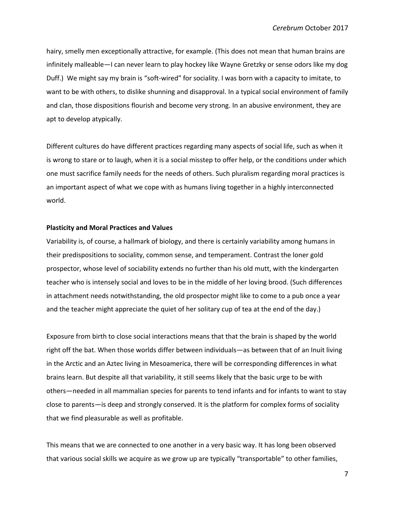hairy, smelly men exceptionally attractive, for example. (This does not mean that human brains are infinitely malleable—I can never learn to play hockey like Wayne Gretzky or sense odors like my dog Duff.) We might say my brain is "soft-wired" for sociality. I was born with a capacity to imitate, to want to be with others, to dislike shunning and disapproval. In a typical social environment of family and clan, those dispositions flourish and become very strong. In an abusive environment, they are apt to develop atypically.

Different cultures do have different practices regarding many aspects of social life, such as when it is wrong to stare or to laugh, when it is a social misstep to offer help, or the conditions under which one must sacrifice family needs for the needs of others. Such pluralism regarding moral practices is an important aspect of what we cope with as humans living together in a highly interconnected world.

#### **Plasticity and Moral Practices and Values**

Variability is, of course, a hallmark of biology, and there is certainly variability among humans in their predispositions to sociality, common sense, and temperament. Contrast the loner gold prospector, whose level of sociability extends no further than his old mutt, with the kindergarten teacher who is intensely social and loves to be in the middle of her loving brood. (Such differences in attachment needs notwithstanding, the old prospector might like to come to a pub once a year and the teacher might appreciate the quiet of her solitary cup of tea at the end of the day.)

Exposure from birth to close social interactions means that that the brain is shaped by the world right off the bat. When those worlds differ between individuals—as between that of an Inuit living in the Arctic and an Aztec living in Mesoamerica, there will be corresponding differences in what brains learn. But despite all that variability, it still seems likely that the basic urge to be with others—needed in all mammalian species for parents to tend infants and for infants to want to stay close to parents—is deep and strongly conserved. It is the platform for complex forms of sociality that we find pleasurable as well as profitable.

This means that we are connected to one another in a very basic way. It has long been observed that various social skills we acquire as we grow up are typically "transportable" to other families,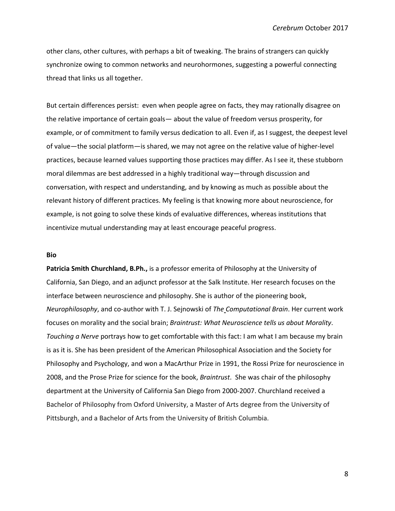other clans, other cultures, with perhaps a bit of tweaking. The brains of strangers can quickly synchronize owing to common networks and neurohormones, suggesting a powerful connecting thread that links us all together.

But certain differences persist: even when people agree on facts, they may rationally disagree on the relative importance of certain goals— about the value of freedom versus prosperity, for example, or of commitment to family versus dedication to all. Even if, as I suggest, the deepest level of value—the social platform—is shared, we may not agree on the relative value of higher-level practices, because learned values supporting those practices may differ. As I see it, these stubborn moral dilemmas are best addressed in a highly traditional way—through discussion and conversation, with respect and understanding, and by knowing as much as possible about the relevant history of different practices. My feeling is that knowing more about neuroscience, for example, is not going to solve these kinds of evaluative differences, whereas institutions that incentivize mutual understanding may at least encourage peaceful progress.

#### **Bio**

**Patricia Smith Churchland, B.Ph.,** is a professor emerita of Philosophy at the University of California, San Diego, and an adjunct professor at the Salk Institute. Her research focuses on the interface between neuroscience and philosophy. She is author of the pioneering book, *Neurophilosophy*, and co-author with T. J. Sejnowski of *The Computational Brain*. Her current work focuses on morality and the social brain; *Braintrust: What Neuroscience tells us about Morality*. *Touching a Nerve* portrays how to get comfortable with this fact: I am what I am because my brain is as it is. She has been president of the American Philosophical Association and the Society for Philosophy and Psychology, and won a MacArthur Prize in 1991, the Rossi Prize for neuroscience in 2008, and the Prose Prize for science for the book, *Braintrust*. She was chair of the philosophy department at the University of California San Diego from 2000-2007. Churchland received a Bachelor of Philosophy from Oxford University, a Master of Arts degree from the University of Pittsburgh, and a Bachelor of Arts from the University of British Columbia.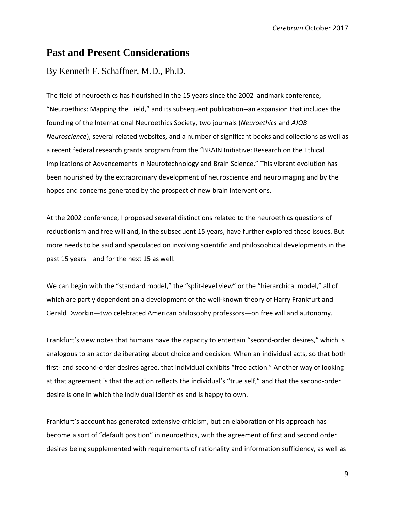## **Past and Present Considerations**

By Kenneth F. Schaffner, M.D., Ph.D.

The field of neuroethics has flourished in the 15 years since the 2002 landmark conference, "Neuroethics: Mapping the Field," and its subsequent publication--an expansion that includes the founding of the International Neuroethics Society, two journals (*Neuroethics* and *AJOB Neuroscience*), several related websites, and a number of significant books and collections as well as a recent federal research grants program from the "BRAIN Initiative: Research on the Ethical Implications of Advancements in Neurotechnology and Brain Science." This vibrant evolution has been nourished by the extraordinary development of neuroscience and neuroimaging and by the hopes and concerns generated by the prospect of new brain interventions.

At the 2002 conference, I proposed several distinctions related to the neuroethics questions of reductionism and free will and, in the subsequent 15 years, have further explored these issues. But more needs to be said and speculated on involving scientific and philosophical developments in the past 15 years—and for the next 15 as well.

We can begin with the "standard model," the "split-level view" or the "hierarchical model," all of which are partly dependent on a development of the well-known theory of Harry Frankfurt and Gerald Dworkin—two celebrated American philosophy professors—on free will and autonomy.

Frankfurt's view notes that humans have the capacity to entertain "second-order desires," which is analogous to an actor deliberating about choice and decision. When an individual acts, so that both first- and second-order desires agree, that individual exhibits "free action." Another way of looking at that agreement is that the action reflects the individual's "true self," and that the second-order desire is one in which the individual identifies and is happy to own.

Frankfurt's account has generated extensive criticism, but an elaboration of his approach has become a sort of "default position" in neuroethics, with the agreement of first and second order desires being supplemented with requirements of rationality and information sufficiency, as well as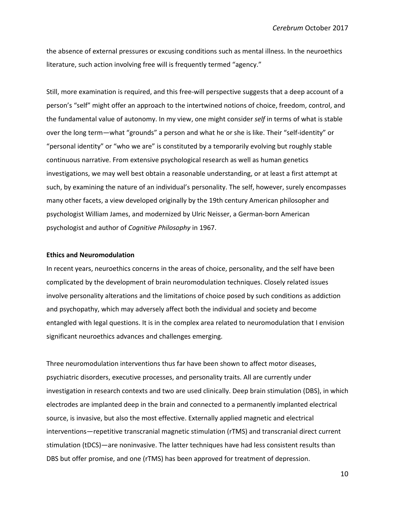the absence of external pressures or excusing conditions such as mental illness. In the neuroethics literature, such action involving free will is frequently termed "agency."

Still, more examination is required, and this free-will perspective suggests that a deep account of a person's "self" might offer an approach to the intertwined notions of choice, freedom, control, and the fundamental value of autonomy. In my view, one might consider *self* in terms of what is stable over the long term—what "grounds" a person and what he or she is like. Their "self-identity" or "personal identity" or "who we are" is constituted by a temporarily evolving but roughly stable continuous narrative. From extensive psychological research as well as human genetics investigations, we may well best obtain a reasonable understanding, or at least a first attempt at such, by examining the nature of an individual's personality. The self, however, surely encompasses many other facets, a view developed originally by the 19th century American philosopher and psychologist William James, and modernized by Ulric Neisser, a German-born American psychologist and author of *Cognitive Philosophy* in 1967.

#### **Ethics and Neuromodulation**

In recent years, neuroethics concerns in the areas of choice, personality, and the self have been complicated by the development of brain neuromodulation techniques. Closely related issues involve personality alterations and the limitations of choice posed by such conditions as addiction and psychopathy, which may adversely affect both the individual and society and become entangled with legal questions. It is in the complex area related to neuromodulation that I envision significant neuroethics advances and challenges emerging.

Three neuromodulation interventions thus far have been shown to affect motor diseases, psychiatric disorders, executive processes, and personality traits. All are currently under investigation in research contexts and two are used clinically. Deep brain stimulation (DBS), in which electrodes are implanted deep in the brain and connected to a permanently implanted electrical source, is invasive, but also the most effective. Externally applied magnetic and electrical interventions—repetitive transcranial magnetic stimulation (rTMS) and transcranial direct current stimulation (tDCS)—are noninvasive. The latter techniques have had less consistent results than DBS but offer promise, and one (rTMS) has been approved for treatment of depression.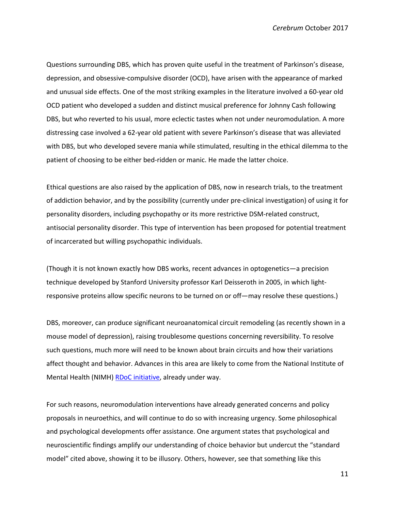Questions surrounding DBS, which has proven quite useful in the treatment of Parkinson's disease, depression, and obsessive-compulsive disorder (OCD), have arisen with the appearance of marked and unusual side effects. One of the most striking examples in the literature involved a 60-year old OCD patient who developed a sudden and distinct musical preference for Johnny Cash following DBS, but who reverted to his usual, more eclectic tastes when not under neuromodulation. A more distressing case involved a 62-year old patient with severe Parkinson's disease that was alleviated with DBS, but who developed severe mania while stimulated, resulting in the ethical dilemma to the patient of choosing to be either bed-ridden or manic. He made the latter choice.

Ethical questions are also raised by the application of DBS, now in research trials, to the treatment of addiction behavior, and by the possibility (currently under pre-clinical investigation) of using it for personality disorders, including psychopathy or its more restrictive DSM-related construct, antisocial personality disorder. This type of intervention has been proposed for potential treatment of incarcerated but willing psychopathic individuals.

(Though it is not known exactly how DBS works, recent advances in optogenetics—a precision technique developed by Stanford University professor Karl Deisseroth in 2005, in which lightresponsive proteins allow specific neurons to be turned on or off—may resolve these questions.)

DBS, moreover, can produce significant neuroanatomical circuit remodeling (as recently shown in a mouse model of depression), raising troublesome questions concerning reversibility. To resolve such questions, much more will need to be known about brain circuits and how their variations affect thought and behavior. Advances in this area are likely to come from the National Institute of Mental Health (NIMH) RDoC [initiative,](https://www.nimh.nih.gov/research-priorities/rdoc/index.shtml) already under way.

For such reasons, neuromodulation interventions have already generated concerns and policy proposals in neuroethics, and will continue to do so with increasing urgency. Some philosophical and psychological developments offer assistance. One argument states that psychological and neuroscientific findings amplify our understanding of choice behavior but undercut the "standard model" cited above, showing it to be illusory. Others, however, see that something like this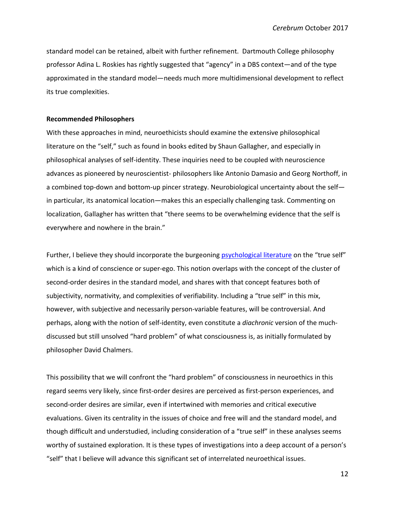standard model can be retained, albeit with further refinement. Dartmouth College philosophy professor Adina L. Roskies has rightly suggested that "agency" in a DBS context—and of the type approximated in the standard model—needs much more multidimensional development to reflect its true complexities.

#### **Recommended Philosophers**

With these approaches in mind, neuroethicists should examine the extensive philosophical literature on the "self," such as found in books edited by Shaun Gallagher, and especially in philosophical analyses of self-identity. These inquiries need to be coupled with neuroscience advances as pioneered by neuroscientist- philosophers like Antonio Damasio and Georg Northoff, in a combined top-down and bottom-up pincer strategy. Neurobiological uncertainty about the self in particular, its anatomical location—makes this an especially challenging task. Commenting on localization, Gallagher has written that "there seems to be overwhelming evidence that the self is everywhere and nowhere in the brain."

Further, I believe they should incorporate the burgeoning [psychological](https://campuspress.yale.edu/joshuaknobe/files/2016/11/TrueSelfReview-15aciac.pdf) literature on the "true self" which is a kind of conscience or super-ego. This notion overlaps with the concept of the cluster of second-order desires in the standard model, and shares with that concept features both of subjectivity, normativity, and complexities of verifiability. Including a "true self" in this mix, however, with subjective and necessarily person-variable features, will be controversial. And perhaps, along with the notion of self-identity, even constitute a *diachronic* version of the muchdiscussed but still unsolved "hard problem" of what consciousness is, as initially formulated by philosopher David Chalmers.

This possibility that we will confront the "hard problem" of consciousness in neuroethics in this regard seems very likely, since first-order desires are perceived as first-person experiences, and second-order desires are similar, even if intertwined with memories and critical executive evaluations. Given its centrality in the issues of choice and free will and the standard model, and though difficult and understudied, including consideration of a "true self" in these analyses seems worthy of sustained exploration. It is these types of investigations into a deep account of a person's "self" that I believe will advance this significant set of interrelated neuroethical issues.